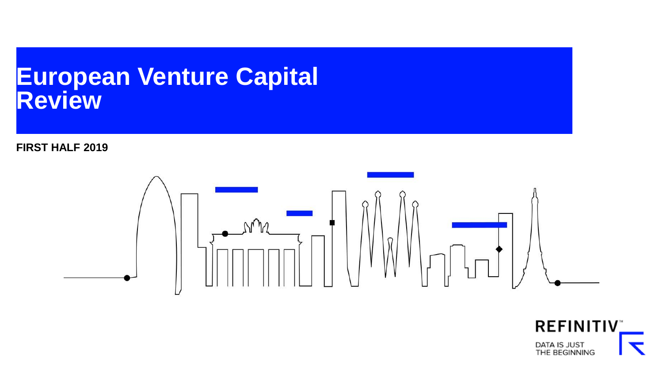# **European Venture Capital Review**

**FIRST HALF 2019**



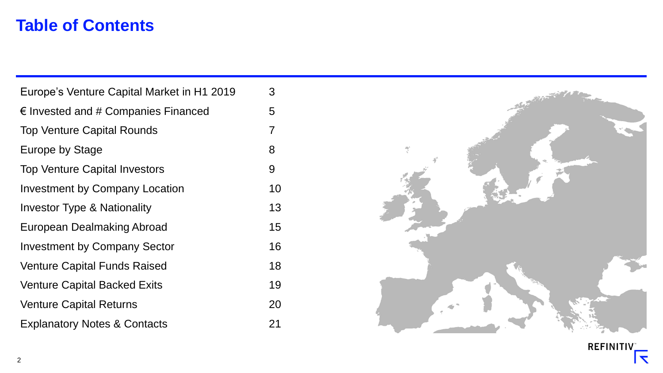### **Table of Contents**

| Europe's Venture Capital Market in H1 2019   | 3              |
|----------------------------------------------|----------------|
| $\epsilon$ Invested and # Companies Financed | 5              |
| <b>Top Venture Capital Rounds</b>            | $\overline{7}$ |
| Europe by Stage                              | 8              |
| <b>Top Venture Capital Investors</b>         | 9              |
| <b>Investment by Company Location</b>        | 10             |
| <b>Investor Type &amp; Nationality</b>       | 13             |
| European Dealmaking Abroad                   | 15             |
| <b>Investment by Company Sector</b>          | 16             |
| <b>Venture Capital Funds Raised</b>          | 18             |
| <b>Venture Capital Backed Exits</b>          | 19             |
| <b>Venture Capital Returns</b>               | 20             |
| <b>Explanatory Notes &amp; Contacts</b>      | 21             |



**REFINITIV** ⇱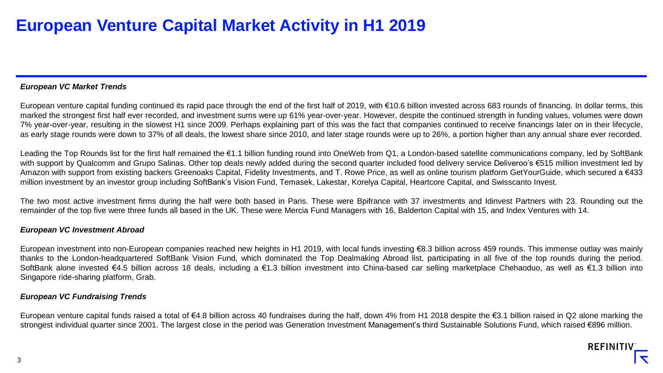### **European Venture Capital Market Activity in H1 2019**

#### *European VC Market Trends*

European venture capital funding continued its rapid pace through the end of the first half of 2019, with €10.6 billion invested across 683 rounds of financing. In dollar terms, this marked the strongest first half ever recorded, and investment sums were up 61% year-over-year. However, despite the continued strength in funding values, volumes were down 7% year-over-year, resulting in the slowest H1 since 2009. Perhaps explaining part of this was the fact that companies continued to receive financings later on in their lifecycle, as early stage rounds were down to 37% of all deals, the lowest share since 2010, and later stage rounds were up to 26%, a portion higher than any annual share ever recorded.

Leading the Top Rounds list for the first half remained the €1.1 billion funding round into OneWeb from Q1, a London-based satellite communications company, led by SoftBank with support by Qualcomm and Grupo Salinas. Other top deals newly added during the second quarter included food delivery service Deliveroo's €515 million investment led by Amazon with support from existing backers Greenoaks Capital, Fidelity Investments, and T. Rowe Price, as well as online tourism platform GetYourGuide, which secured a €433 million investment by an investor group including SoftBank's Vision Fund, Temasek, Lakestar, Korelya Capital, Heartcore Capital, and Swisscanto Invest.

The two most active investment firms during the half were both based in Paris. These were Bpifrance with 37 investments and Idinvest Partners with 23. Rounding out the remainder of the top five were three funds all based in the UK. These were Mercia Fund Managers with 16, Balderton Capital with 15, and Index Ventures with 14.

#### *European VC Investment Abroad*

European investment into non-European companies reached new heights in H1 2019, with local funds investing €8.3 billion across 459 rounds. This immense outlay was mainly thanks to the London-headquartered SoftBank Vision Fund, which dominated the Top Dealmaking Abroad list, participating in all five of the top rounds during the period. SoftBank alone invested €4.5 billion across 18 deals, including a €1.3 billion investment into China-based car selling marketplace Chehaoduo, as well as €1.3 billion into Singapore ride-sharing platform, Grab.

#### *European VC Fundraising Trends*

European venture capital funds raised a total of €4.8 billion across 40 fundraises during the half, down 4% from H1 2018 despite the €3.1 billion raised in Q2 alone marking the strongest individual quarter since 2001. The largest close in the period was Generation Investment Management's third Sustainable Solutions Fund, which raised €896 million.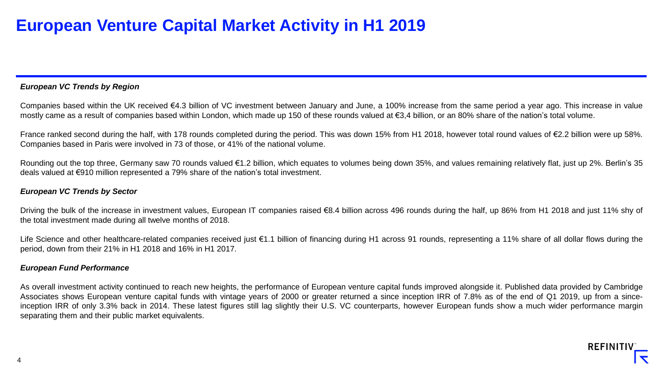### **European Venture Capital Market Activity in H1 2019**

#### *European VC Trends by Region*

Companies based within the UK received €4.3 billion of VC investment between January and June, a 100% increase from the same period a year ago. This increase in value mostly came as a result of companies based within London, which made up 150 of these rounds valued at €3,4 billion, or an 80% share of the nation's total volume.

France ranked second during the half, with 178 rounds completed during the period. This was down 15% from H1 2018, however total round values of €2.2 billion were up 58%. Companies based in Paris were involved in 73 of those, or 41% of the national volume.

Rounding out the top three, Germany saw 70 rounds valued €1.2 billion, which equates to volumes being down 35%, and values remaining relatively flat, just up 2%. Berlin's 35 deals valued at €910 million represented a 79% share of the nation's total investment.

#### *European VC Trends by Sector*

Driving the bulk of the increase in investment values, European IT companies raised €8.4 billion across 496 rounds during the half, up 86% from H1 2018 and just 11% shy of the total investment made during all twelve months of 2018.

Life Science and other healthcare-related companies received just €1.1 billion of financing during H1 across 91 rounds, representing a 11% share of all dollar flows during the period, down from their 21% in H1 2018 and 16% in H1 2017.

#### *European Fund Performance*

As overall investment activity continued to reach new heights, the performance of European venture capital funds improved alongside it. Published data provided by Cambridge Associates shows European venture capital funds with vintage years of 2000 or greater returned a since inception IRR of 7.8% as of the end of Q1 2019, up from a sinceinception IRR of only 3.3% back in 2014. These latest figures still lag slightly their U.S. VC counterparts, however European funds show a much wider performance margin separating them and their public market equivalents.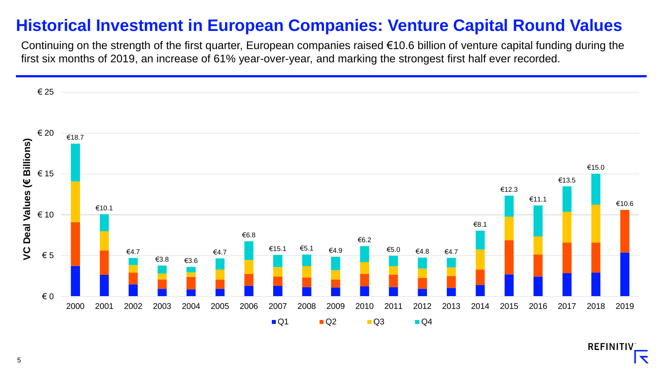#### **Historical Investment in European Companies: Venture Capital Round Values**

Continuing on the strength of the first quarter, European companies raised €10.6 billion of venture capital funding during the first six months of 2019, an increase of 61% year-over-year, and marking the strongest first half ever recorded.



**REFINITIV** ᅐ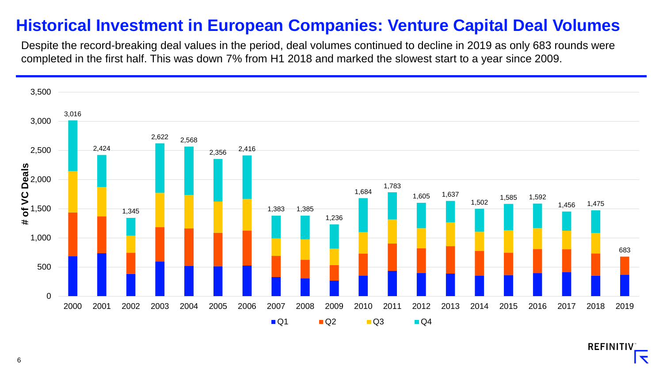#### **Historical Investment in European Companies: Venture Capital Deal Volumes**

Despite the record-breaking deal values in the period, deal volumes continued to decline in 2019 as only 683 rounds were completed in the first half. This was down 7% from H1 2018 and marked the slowest start to a year since 2009.

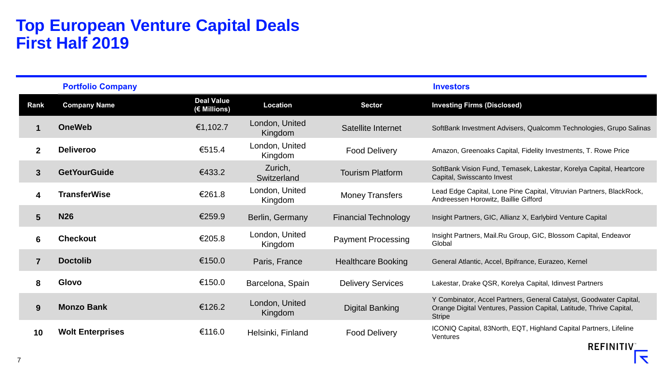#### **Top European Venture Capital Deals First Half 2019**

|                | <b>Portfolio Company</b> |                                   |                           |                             | <b>Investors</b>                                                                                                                                           |
|----------------|--------------------------|-----------------------------------|---------------------------|-----------------------------|------------------------------------------------------------------------------------------------------------------------------------------------------------|
| Rank           | <b>Company Name</b>      | <b>Deal Value</b><br>(€ Millions) | <b>Location</b>           | <b>Sector</b>               | <b>Investing Firms (Disclosed)</b>                                                                                                                         |
|                | <b>OneWeb</b>            | €1,102.7                          | London, United<br>Kingdom | Satellite Internet          | SoftBank Investment Advisers, Qualcomm Technologies, Grupo Salinas                                                                                         |
| $\overline{2}$ | <b>Deliveroo</b>         | €515.4                            | London, United<br>Kingdom | <b>Food Delivery</b>        | Amazon, Greenoaks Capital, Fidelity Investments, T. Rowe Price                                                                                             |
| $\mathbf{3}$   | <b>GetYourGuide</b>      | €433.2                            | Zurich,<br>Switzerland    | <b>Tourism Platform</b>     | SoftBank Vision Fund, Temasek, Lakestar, Korelya Capital, Heartcore<br>Capital, Swisscanto Invest                                                          |
| 4              | <b>TransferWise</b>      | €261.8                            | London, United<br>Kingdom | <b>Money Transfers</b>      | Lead Edge Capital, Lone Pine Capital, Vitruvian Partners, BlackRock,<br>Andreessen Horowitz, Baillie Gifford                                               |
| $5\phantom{1}$ | <b>N26</b>               | €259.9                            | Berlin, Germany           | <b>Financial Technology</b> | Insight Partners, GIC, Allianz X, Earlybird Venture Capital                                                                                                |
| 6              | <b>Checkout</b>          | €205.8                            | London, United<br>Kingdom | <b>Payment Processing</b>   | Insight Partners, Mail.Ru Group, GIC, Blossom Capital, Endeavor<br>Global                                                                                  |
| $\overline{7}$ | <b>Doctolib</b>          | €150.0                            | Paris, France             | <b>Healthcare Booking</b>   | General Atlantic, Accel, Bpifrance, Eurazeo, Kernel                                                                                                        |
| 8              | Glovo                    | €150.0                            | Barcelona, Spain          | <b>Delivery Services</b>    | Lakestar, Drake QSR, Korelya Capital, Idinvest Partners                                                                                                    |
| 9              | <b>Monzo Bank</b>        | €126.2                            | London, United<br>Kingdom | <b>Digital Banking</b>      | Y Combinator, Accel Partners, General Catalyst, Goodwater Capital,<br>Orange Digital Ventures, Passion Capital, Latitude, Thrive Capital,<br><b>Stripe</b> |
| 10             | <b>Wolt Enterprises</b>  | €116.0                            | Helsinki, Finland         | <b>Food Delivery</b>        | ICONIQ Capital, 83North, EQT, Highland Capital Partners, Lifeline<br>Ventures<br><b>REFINITIV</b>                                                          |

 $\blacktriangledown$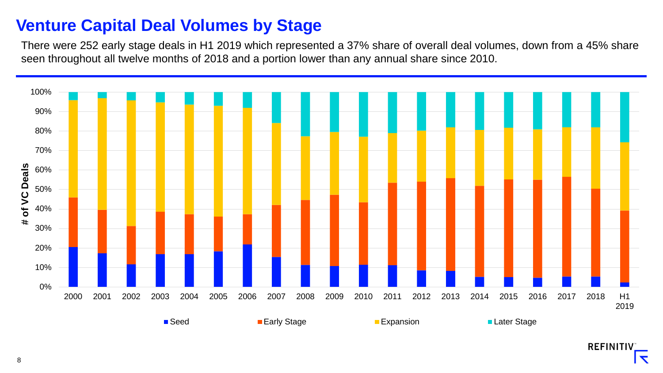### **Venture Capital Deal Volumes by Stage**

There were 252 early stage deals in H1 2019 which represented a 37% share of overall deal volumes, down from a 45% share seen throughout all twelve months of 2018 and a portion lower than any annual share since 2010.

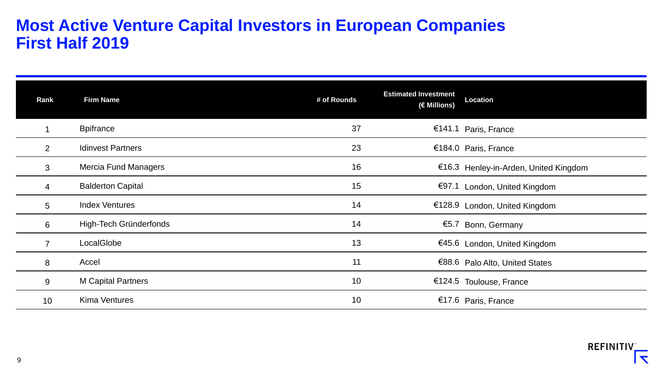#### **Most Active Venture Capital Investors in European Companies First Half 2019**

| Rank           | <b>Firm Name</b>            | # of Rounds | <b>Estimated Investment</b><br>(€ Millions) | Location                              |
|----------------|-----------------------------|-------------|---------------------------------------------|---------------------------------------|
|                | <b>Bpifrance</b>            | 37          |                                             | €141.1 Paris, France                  |
| $\overline{2}$ | <b>Idinvest Partners</b>    | 23          |                                             | €184.0 Paris, France                  |
| 3              | <b>Mercia Fund Managers</b> | 16          |                                             | €16.3 Henley-in-Arden, United Kingdom |
| $\overline{4}$ | <b>Balderton Capital</b>    | 15          | €97.1                                       | London, United Kingdom                |
| 5              | <b>Index Ventures</b>       | 14          |                                             | €128.9 London, United Kingdom         |
| 6              | High-Tech Gründerfonds      | 14          | €5.7                                        | Bonn, Germany                         |
|                | LocalGlobe                  | 13          |                                             | €45.6 London, United Kingdom          |
| 8              | Accel                       | 11          |                                             | €88.6 Palo Alto, United States        |
| 9              | <b>M Capital Partners</b>   | 10          |                                             | €124.5 Toulouse, France               |
| 10             | <b>Kima Ventures</b>        | 10          |                                             | €17.6 Paris, France                   |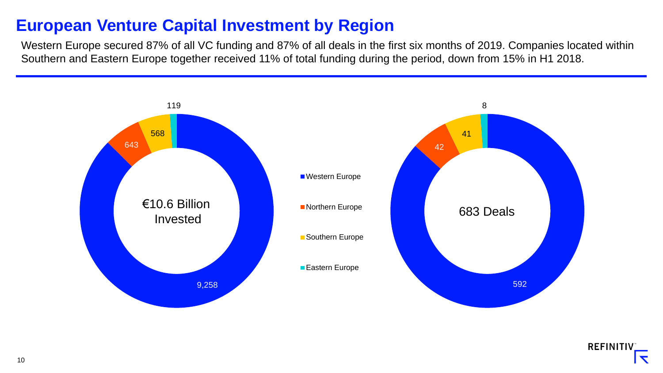### **European Venture Capital Investment by Region**

Western Europe secured 87% of all VC funding and 87% of all deals in the first six months of 2019. Companies located within Southern and Eastern Europe together received 11% of total funding during the period, down from 15% in H1 2018.



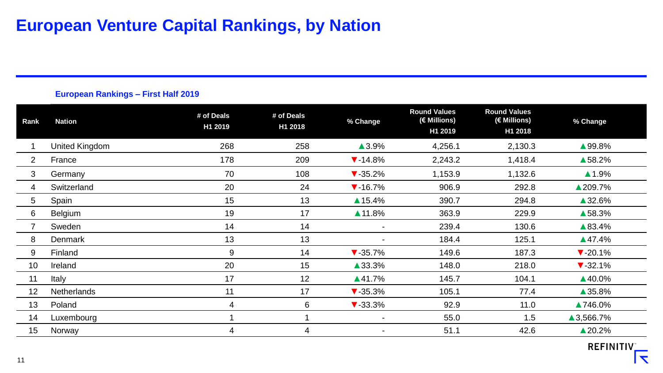### **European Venture Capital Rankings, by Nation**

#### **European Rankings – First Half 2019**

| Rank           | <b>Nation</b>      | # of Deals<br>H1 2019 | # of Deals<br>H1 2018 | % Change                    | <b>Round Values</b><br>(€ Millions)<br>H1 2019 | <b>Round Values</b><br>(€ Millions)<br>H1 2018 | % Change                    |
|----------------|--------------------|-----------------------|-----------------------|-----------------------------|------------------------------------------------|------------------------------------------------|-----------------------------|
|                | United Kingdom     | 268                   | 258                   | ▲3.9%                       | 4,256.1                                        | 2,130.3                                        | ▲99.8%                      |
| $\overline{2}$ | France             | 178                   | 209                   | $\blacktriangledown$ -14.8% | 2,243.2                                        | 1,418.4                                        | ▲58.2%                      |
| 3              | Germany            | 70                    | 108                   | $\blacktriangledown$ -35.2% | 1,153.9                                        | 1,132.6                                        | $\triangle$ 1.9%            |
| 4              | Switzerland        | 20                    | 24                    | $\blacktriangledown$ -16.7% | 906.9                                          | 292.8                                          | ▲209.7%                     |
| 5              | Spain              | 15                    | 13                    | $\triangle$ 15.4%           | 390.7                                          | 294.8                                          | ▲32.6%                      |
| 6              | <b>Belgium</b>     | 19                    | 17                    | ▲11.8%                      | 363.9                                          | 229.9                                          | ▲58.3%                      |
|                | Sweden             | 14                    | 14                    |                             | 239.4                                          | 130.6                                          | ▲83.4%                      |
| 8              | Denmark            | 13                    | 13                    |                             | 184.4                                          | 125.1                                          | ▲47.4%                      |
| 9              | Finland            | 9                     | 14                    | $\blacktriangledown$ -35.7% | 149.6                                          | 187.3                                          | $\blacktriangledown$ -20.1% |
| 10             | Ireland            | 20                    | 15                    | ▲33.3%                      | 148.0                                          | 218.0                                          | $\blacktriangledown$ -32.1% |
| 11             | Italy              | 17                    | 12                    | ▲41.7%                      | 145.7                                          | 104.1                                          | ▲40.0%                      |
| 12             | <b>Netherlands</b> | 11                    | 17                    | $\blacktriangledown$ -35.3% | 105.1                                          | 77.4                                           | ▲35.8%                      |
| 13             | Poland             | 4                     | 6                     | $\blacktriangledown$ 33.3%  | 92.9                                           | 11.0                                           | ▲746.0%                     |
| 14             | Luxembourg         |                       |                       | $\blacksquare$              | 55.0                                           | 1.5                                            | ▲3,566.7%                   |
| 15             | Norway             | 4                     | 4                     |                             | 51.1                                           | 42.6                                           | ▲20.2%                      |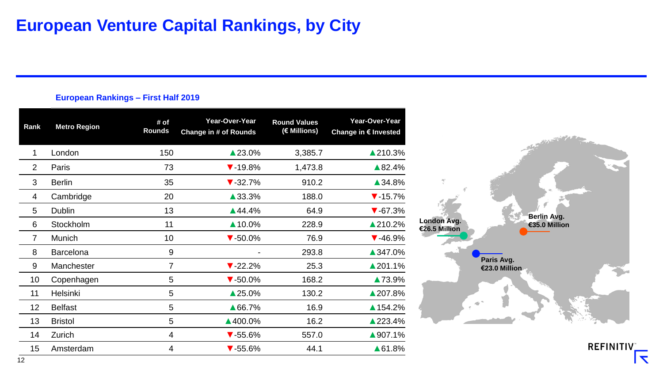### **European Venture Capital Rankings, by City**

#### **European Rankings – First Half 2019**

| Rank           | <b>Metro Region</b> | # of<br><b>Rounds</b> | Year-Over-Year<br><b>Change in # of Rounds</b> | <b>Round Values</b><br>(€ Millions) | Year-Over-Year<br>Change in € Invested |
|----------------|---------------------|-----------------------|------------------------------------------------|-------------------------------------|----------------------------------------|
| 1              | London              | 150                   | ▲23.0%                                         | 3,385.7                             | ▲210.3%                                |
| 2              | Paris               | 73                    | $\blacktriangledown$ -19.8%                    | 1,473.8                             | ▲82.4%                                 |
| 3              | <b>Berlin</b>       | 35                    | $\blacktriangledown$ -32.7%                    | 910.2                               | ▲34.8%                                 |
| 4              | Cambridge           | 20                    | ▲33.3%                                         | 188.0                               | $\blacktriangledown$ -15.7%            |
| 5              | <b>Dublin</b>       | 13                    | ▲44.4%                                         | 64.9                                | $\blacktriangledown$ -67.3%            |
| 6              | Stockholm           | 11                    | ▲10.0%                                         | 228.9                               | ▲210.2%                                |
| $\overline{7}$ | Munich              | 10                    | $\blacktriangledown$ -50.0%                    | 76.9                                | $\blacktriangledown$ 46.9%             |
| 8              | <b>Barcelona</b>    | 9                     |                                                | 293.8                               | ▲347.0%                                |
| 9              | Manchester          | 7                     | $\blacktriangledown$ -22.2%                    | 25.3                                | ▲201.1%                                |
| 10             | Copenhagen          | 5                     | $\blacktriangledown$ -50.0%                    | 168.2                               | ▲73.9%                                 |
| 11             | Helsinki            | 5                     | ▲25.0%                                         | 130.2                               | ▲207.8%                                |
| 12             | <b>Belfast</b>      | 5                     | ▲66.7%                                         | 16.9                                | ▲154.2%                                |
| 13             | <b>Bristol</b>      | 5                     | ▲400.0%                                        | 16.2                                | ▲223.4%                                |
| 14             | Zurich              | $\overline{4}$        | $\blacktriangledown$ -55.6%                    | 557.0                               | ▲907.1%                                |
| 15             | Amsterdam           | 4                     | $\blacktriangledown$ -55.6%                    | 44.1                                | ▲61.8%                                 |



**REFINITIV** 

 $\overline{\phantom{0}}$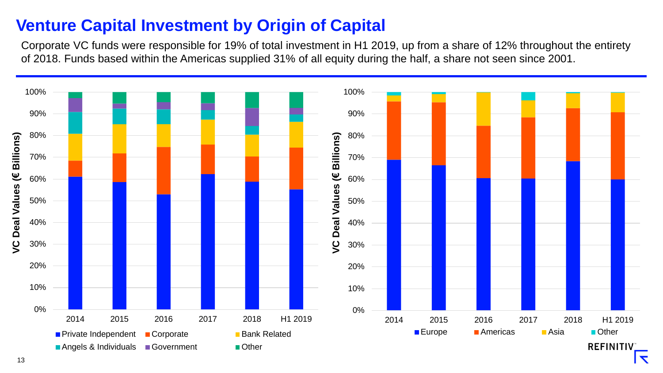## **Venture Capital Investment by Origin of Capital**

Corporate VC funds were responsible for 19% of total investment in H1 2019, up from a share of 12% throughout the entirety of 2018. Funds based within the Americas supplied 31% of all equity during the half, a share not seen since 2001.

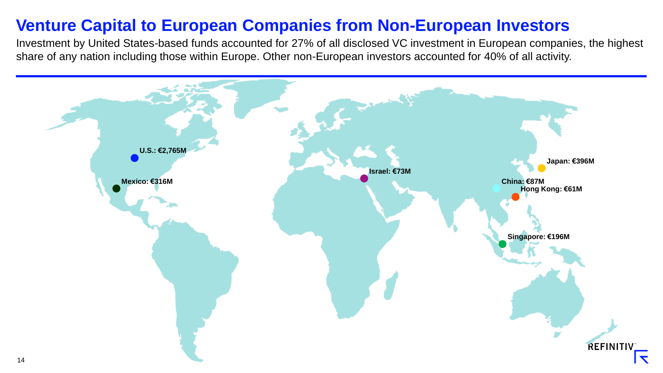#### **Venture Capital to European Companies from Non-European Investors**

Investment by United States-based funds accounted for 27% of all disclosed VC investment in European companies, the highest share of any nation including those within Europe. Other non-European investors accounted for 40% of all activity.

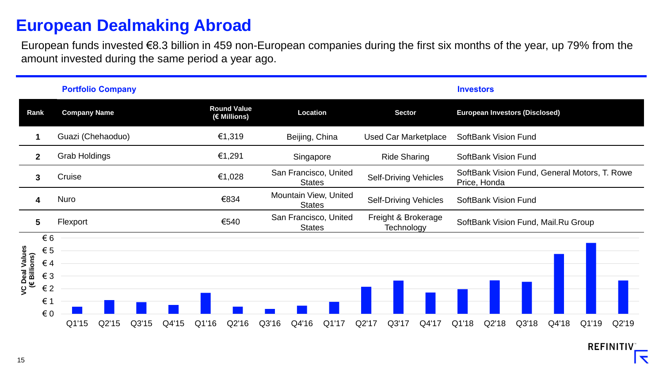#### **European Dealmaking Abroad**

European funds invested €8.3 billion in 459 non-European companies during the first six months of the year, up 79% from the amount invested during the same period a year ago.

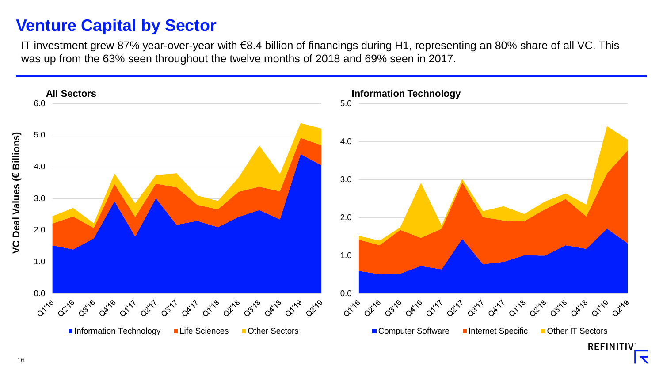#### **Venture Capital by Sector**

IT investment grew 87% year-over-year with €8.4 billion of financings during H1, representing an 80% share of all VC. This was up from the 63% seen throughout the twelve months of 2018 and 69% seen in 2017.

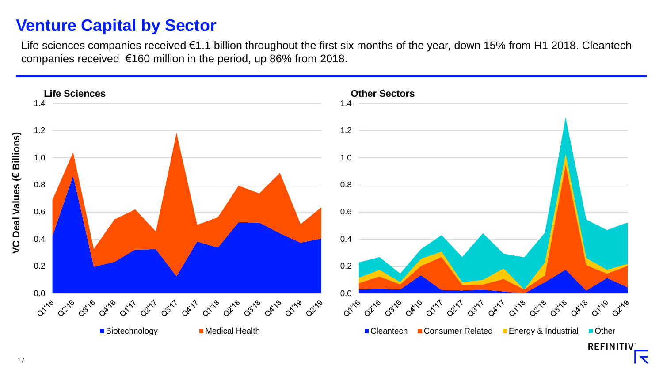#### **Venture Capital by Sector**

Life sciences companies received €1.1 billion throughout the first six months of the year, down 15% from H1 2018. Cleantech companies received €160 million in the period, up 86% from 2018.

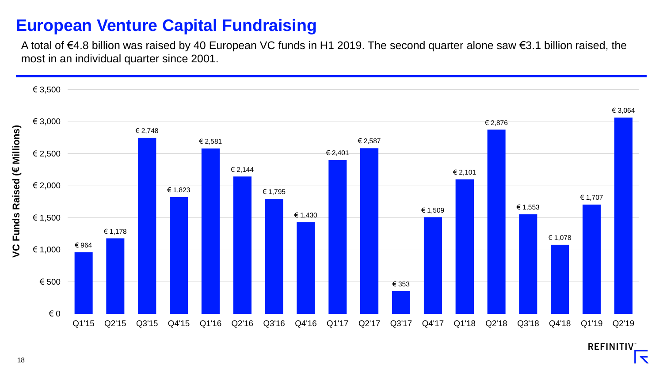#### **European Venture Capital Fundraising**

A total of €4.8 billion was raised by 40 European VC funds in H1 2019. The second quarter alone saw €3.1 billion raised, the most in an individual quarter since 2001.



 $\blacktriangledown$ 

18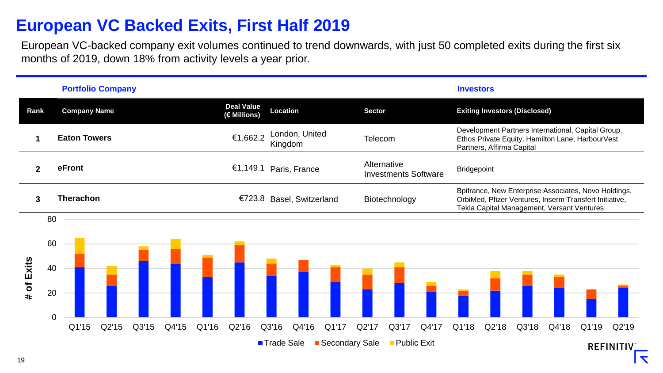### **European VC Backed Exits, First Half 2019**

European VC-backed company exit volumes continued to trend downwards, with just 50 completed exits during the first six months of 2019, down 18% from activity levels a year prior.

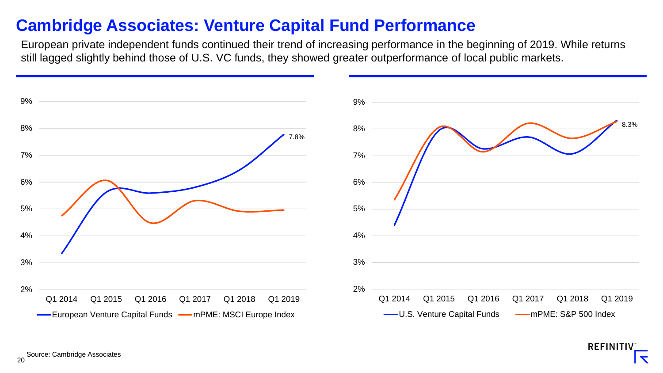#### **Cambridge Associates: Venture Capital Fund Performance**

European private independent funds continued their trend of increasing performance in the beginning of 2019. While returns still lagged slightly behind those of U.S. VC funds, they showed greater outperformance of local public markets.